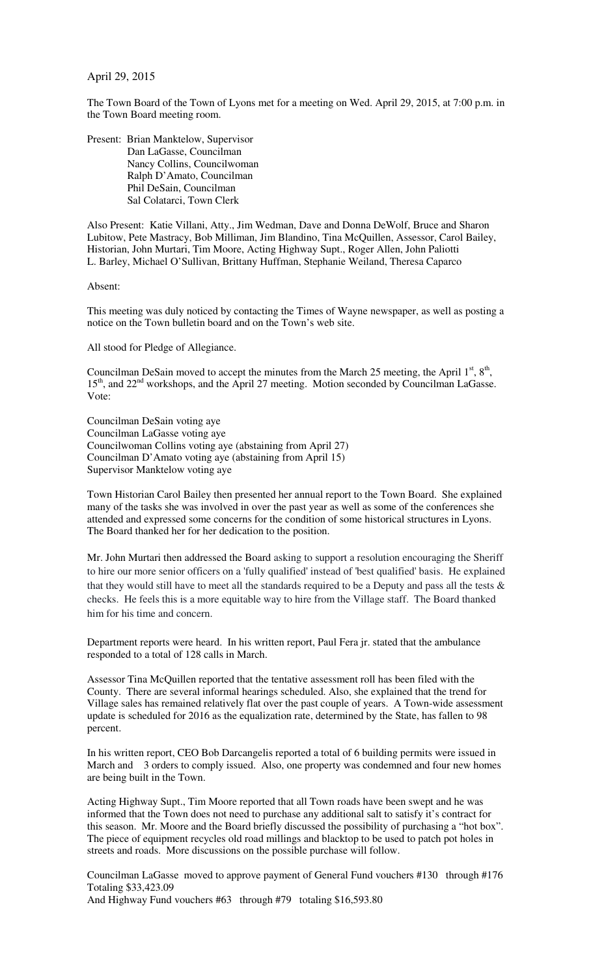## April 29, 2015

The Town Board of the Town of Lyons met for a meeting on Wed. April 29, 2015, at 7:00 p.m. in the Town Board meeting room.

Present: Brian Manktelow, Supervisor Dan LaGasse, Councilman Nancy Collins, Councilwoman Ralph D'Amato, Councilman Phil DeSain, Councilman Sal Colatarci, Town Clerk

Also Present: Katie Villani, Atty., Jim Wedman, Dave and Donna DeWolf, Bruce and Sharon Lubitow, Pete Mastracy, Bob Milliman, Jim Blandino, Tina McQuillen, Assessor, Carol Bailey, Historian, John Murtari, Tim Moore, Acting Highway Supt., Roger Allen, John Paliotti L. Barley, Michael O'Sullivan, Brittany Huffman, Stephanie Weiland, Theresa Caparco

Absent:

This meeting was duly noticed by contacting the Times of Wayne newspaper, as well as posting a notice on the Town bulletin board and on the Town's web site.

All stood for Pledge of Allegiance.

Councilman DeSain moved to accept the minutes from the March 25 meeting, the April  $1<sup>st</sup>$ ,  $8<sup>th</sup>$ , 15<sup>th</sup>, and 22<sup>nd</sup> workshops, and the April 27 meeting. Motion seconded by Councilman LaGasse. Vote:

Councilman DeSain voting aye Councilman LaGasse voting aye Councilwoman Collins voting aye (abstaining from April 27) Councilman D'Amato voting aye (abstaining from April 15) Supervisor Manktelow voting aye

Town Historian Carol Bailey then presented her annual report to the Town Board. She explained many of the tasks she was involved in over the past year as well as some of the conferences she attended and expressed some concerns for the condition of some historical structures in Lyons. The Board thanked her for her dedication to the position.

Mr. John Murtari then addressed the Board asking to support a resolution encouraging the Sheriff to hire our more senior officers on a 'fully qualified' instead of 'best qualified' basis. He explained that they would still have to meet all the standards required to be a Deputy and pass all the tests  $\&$ checks. He feels this is a more equitable way to hire from the Village staff. The Board thanked him for his time and concern.

Department reports were heard. In his written report, Paul Fera jr. stated that the ambulance responded to a total of 128 calls in March.

Assessor Tina McQuillen reported that the tentative assessment roll has been filed with the County. There are several informal hearings scheduled. Also, she explained that the trend for Village sales has remained relatively flat over the past couple of years. A Town-wide assessment update is scheduled for 2016 as the equalization rate, determined by the State, has fallen to 98 percent.

In his written report, CEO Bob Darcangelis reported a total of 6 building permits were issued in March and 3 orders to comply issued. Also, one property was condemned and four new homes are being built in the Town.

Acting Highway Supt., Tim Moore reported that all Town roads have been swept and he was informed that the Town does not need to purchase any additional salt to satisfy it's contract for this season. Mr. Moore and the Board briefly discussed the possibility of purchasing a "hot box". The piece of equipment recycles old road millings and blacktop to be used to patch pot holes in streets and roads. More discussions on the possible purchase will follow.

Councilman LaGasse moved to approve payment of General Fund vouchers #130 through #176 Totaling \$33,423.09 And Highway Fund vouchers #63 through #79 totaling \$16,593.80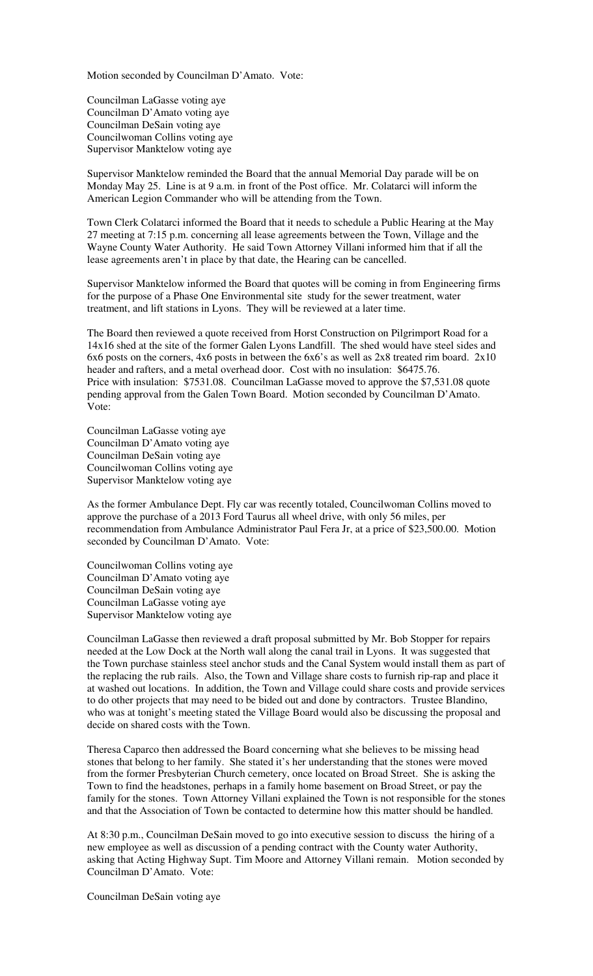Motion seconded by Councilman D'Amato. Vote:

Councilman LaGasse voting aye Councilman D'Amato voting aye Councilman DeSain voting aye Councilwoman Collins voting aye Supervisor Manktelow voting aye

Supervisor Manktelow reminded the Board that the annual Memorial Day parade will be on Monday May 25. Line is at 9 a.m. in front of the Post office. Mr. Colatarci will inform the American Legion Commander who will be attending from the Town.

Town Clerk Colatarci informed the Board that it needs to schedule a Public Hearing at the May 27 meeting at 7:15 p.m. concerning all lease agreements between the Town, Village and the Wayne County Water Authority. He said Town Attorney Villani informed him that if all the lease agreements aren't in place by that date, the Hearing can be cancelled.

Supervisor Manktelow informed the Board that quotes will be coming in from Engineering firms for the purpose of a Phase One Environmental site study for the sewer treatment, water treatment, and lift stations in Lyons. They will be reviewed at a later time.

The Board then reviewed a quote received from Horst Construction on Pilgrimport Road for a 14x16 shed at the site of the former Galen Lyons Landfill. The shed would have steel sides and 6x6 posts on the corners, 4x6 posts in between the 6x6's as well as 2x8 treated rim board. 2x10 header and rafters, and a metal overhead door. Cost with no insulation: \$6475.76. Price with insulation: \$7531.08. Councilman LaGasse moved to approve the \$7,531.08 quote pending approval from the Galen Town Board. Motion seconded by Councilman D'Amato. Vote:

Councilman LaGasse voting aye Councilman D'Amato voting aye Councilman DeSain voting aye Councilwoman Collins voting aye Supervisor Manktelow voting aye

As the former Ambulance Dept. Fly car was recently totaled, Councilwoman Collins moved to approve the purchase of a 2013 Ford Taurus all wheel drive, with only 56 miles, per recommendation from Ambulance Administrator Paul Fera Jr, at a price of \$23,500.00. Motion seconded by Councilman D'Amato. Vote:

Councilwoman Collins voting aye Councilman D'Amato voting aye Councilman DeSain voting aye Councilman LaGasse voting aye Supervisor Manktelow voting aye

Councilman LaGasse then reviewed a draft proposal submitted by Mr. Bob Stopper for repairs needed at the Low Dock at the North wall along the canal trail in Lyons. It was suggested that the Town purchase stainless steel anchor studs and the Canal System would install them as part of the replacing the rub rails. Also, the Town and Village share costs to furnish rip-rap and place it at washed out locations. In addition, the Town and Village could share costs and provide services to do other projects that may need to be bided out and done by contractors. Trustee Blandino, who was at tonight's meeting stated the Village Board would also be discussing the proposal and decide on shared costs with the Town.

Theresa Caparco then addressed the Board concerning what she believes to be missing head stones that belong to her family. She stated it's her understanding that the stones were moved from the former Presbyterian Church cemetery, once located on Broad Street. She is asking the Town to find the headstones, perhaps in a family home basement on Broad Street, or pay the family for the stones. Town Attorney Villani explained the Town is not responsible for the stones and that the Association of Town be contacted to determine how this matter should be handled.

At 8:30 p.m., Councilman DeSain moved to go into executive session to discuss the hiring of a new employee as well as discussion of a pending contract with the County water Authority, asking that Acting Highway Supt. Tim Moore and Attorney Villani remain. Motion seconded by Councilman D'Amato. Vote:

Councilman DeSain voting aye